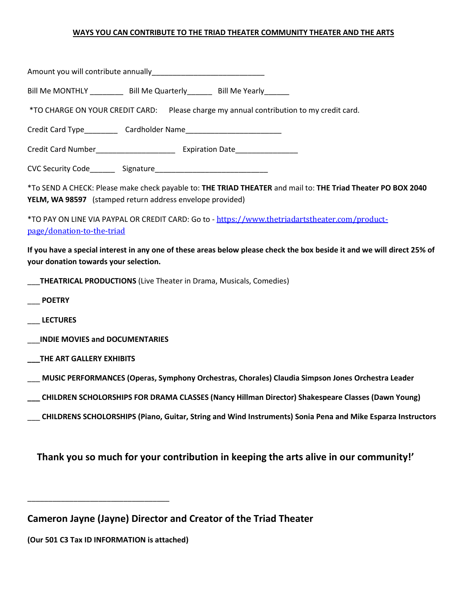## **WAYS YOU CAN CONTRIBUTE TO THE TRIAD THEATER COMMUNITY THEATER AND THE ARTS**

| Bill Me MONTHLY ____________ Bill Me Quarterly________ Bill Me Yearly_______                                                                                              |
|---------------------------------------------------------------------------------------------------------------------------------------------------------------------------|
| *TO CHARGE ON YOUR CREDIT CARD: Please charge my annual contribution to my credit card.                                                                                   |
|                                                                                                                                                                           |
|                                                                                                                                                                           |
|                                                                                                                                                                           |
| *To SEND A CHECK: Please make check payable to: THE TRIAD THEATER and mail to: THE Triad Theater PO BOX 2040<br>YELM, WA 98597 (stamped return address envelope provided) |
| *TO PAY ON LINE VIA PAYPAL OR CREDIT CARD: Go to - https://www.thetriadartstheater.com/product-<br>page/donation-to-the-triad                                             |
| If you have a special interest in any one of these areas below please check the box beside it and we will direct 25% of<br>your donation towards your selection.          |
| <b>THEATRICAL PRODUCTIONS</b> (Live Theater in Drama, Musicals, Comedies)                                                                                                 |
| <b>POETRY</b>                                                                                                                                                             |
| <b>LECTURES</b>                                                                                                                                                           |
| <b>INDIE MOVIES and DOCUMENTARIES</b>                                                                                                                                     |
| THE ART GALLERY EXHIBITS                                                                                                                                                  |
| MUSIC PERFORMANCES (Operas, Symphony Orchestras, Chorales) Claudia Simpson Jones Orchestra Leader                                                                         |
| CHILDREN SCHOLORSHIPS FOR DRAMA CLASSES (Nancy Hillman Director) Shakespeare Classes (Dawn Young)                                                                         |
| CHILDRENS SCHOLORSHIPS (Piano, Guitar, String and Wind Instruments) Sonia Pena and Mike Esparza Instructors                                                               |
| Thank you so much for your contribution in keeping the arts alive in our community!'                                                                                      |

**Cameron Jayne (Jayne) Director and Creator of the Triad Theater**

**(Our 501 C3 Tax ID INFORMATION is attached)**

\_\_\_\_\_\_\_\_\_\_\_\_\_\_\_\_\_\_\_\_\_\_\_\_\_\_\_\_\_\_\_\_\_\_